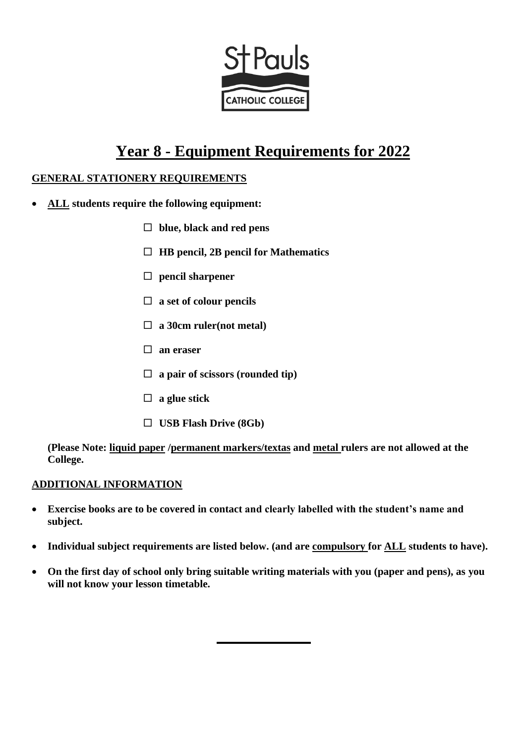

# **Year 8 - Equipment Requirements for 2022**

#### **GENERAL STATIONERY REQUIREMENTS**

- **ALL students require the following equipment:**
	- **blue, black and red pens**
	- **HB pencil, 2B pencil for Mathematics**
	- **pencil sharpener**
	- **a set of colour pencils**
	- **a 30cm ruler(not metal)**
	- **an eraser**
	- **a pair of scissors (rounded tip)**
	- **a glue stick**
	- **USB Flash Drive (8Gb)**

**(Please Note: liquid paper /permanent markers/textas and metal rulers are not allowed at the College.** 

#### **ADDITIONAL INFORMATION**

- **Exercise books are to be covered in contact and clearly labelled with the student's name and subject.**
- **Individual subject requirements are listed below. (and are compulsory for ALL students to have).**
- **On the first day of school only bring suitable writing materials with you (paper and pens), as you will not know your lesson timetable.**